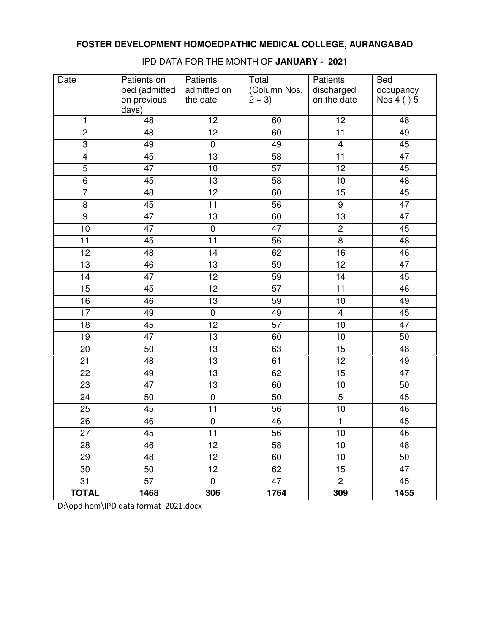| Date            | Patients on<br>bed (admitted<br>on previous | Patients<br>admitted on<br>the date | Total<br>(Column Nos.<br>$2 + 3$ | Patients<br>discharged<br>on the date | <b>Bed</b><br>occupancy<br>Nos 4 (-) 5 |
|-----------------|---------------------------------------------|-------------------------------------|----------------------------------|---------------------------------------|----------------------------------------|
| 1               | days)<br>48                                 | 12                                  | 60                               | 12                                    | 48                                     |
| $\overline{2}$  | 48                                          | $\overline{12}$                     | 60                               | $\overline{11}$                       | 49                                     |
| $\overline{3}$  | 49                                          | $\pmb{0}$                           | 49                               | $\overline{\mathbf{4}}$               | 45                                     |
| $\overline{4}$  | 45                                          | $\overline{13}$                     | $\overline{58}$                  | $\overline{11}$                       | 47                                     |
| $\overline{5}$  | 47                                          | 10                                  | 57                               | 12                                    | 45                                     |
| $\overline{6}$  | 45                                          | 13                                  | 58                               | 10                                    | 48                                     |
| $\overline{7}$  | 48                                          | 12                                  | 60                               | 15                                    | 45                                     |
| 8               | 45                                          | 11                                  | 56                               | 9                                     | 47                                     |
| $\overline{9}$  | 47                                          | 13                                  | 60                               | 13                                    | 47                                     |
| 10              | $\overline{47}$                             | $\overline{0}$                      | 47                               | $\overline{2}$                        | 45                                     |
| $\overline{11}$ | 45                                          | $\overline{11}$                     | 56                               | $\overline{8}$                        | 48                                     |
| $\overline{12}$ | 48                                          | 14                                  | 62                               | 16                                    | 46                                     |
| 13              | 46                                          | 13                                  | 59                               | 12                                    | 47                                     |
| $\overline{14}$ | 47                                          | 12                                  | 59                               | $\overline{14}$                       | 45                                     |
| 15              | 45                                          | 12                                  | 57                               | 11                                    | 46                                     |
| 16              | 46                                          | $\overline{13}$                     | 59                               | 10                                    | 49                                     |
| 17              | 49                                          | $\pmb{0}$                           | 49                               | $\overline{\mathbf{4}}$               | 45                                     |
| $\overline{18}$ | 45                                          | $\overline{12}$                     | $\overline{57}$                  | 10                                    | $\overline{47}$                        |
| 19              | 47                                          | 13                                  | 60                               | 10                                    | 50                                     |
| 20              | 50                                          | 13                                  | 63                               | 15                                    | 48                                     |
| 21              | 48                                          | 13                                  | 61                               | 12                                    | 49                                     |
| 22              | 49                                          | 13                                  | 62                               | 15                                    | 47                                     |
| 23              | 47                                          | 13                                  | 60                               | 10                                    | 50                                     |
| 24              | 50                                          | $\pmb{0}$                           | 50                               | $\overline{5}$                        | 45                                     |
| 25              | 45                                          | 11                                  | 56                               | 10                                    | 46                                     |
| $\overline{26}$ | 46                                          | $\overline{0}$                      | 46                               | $\overline{\mathbf{1}}$               | 45                                     |
| 27              | 45                                          | 11                                  | 56                               | 10                                    | 46                                     |
| 28              | 46                                          | 12                                  | 58                               | 10                                    | 48                                     |
| 29              | 48                                          | 12                                  | 60                               | 10                                    | 50                                     |
| 30              | 50                                          | 12 <sub>2</sub>                     | 62                               | 15                                    | 47                                     |
| 31              | 57                                          | $\pmb{0}$                           | 47                               | $\overline{2}$                        | 45                                     |
| <b>TOTAL</b>    | 1468                                        | 306                                 | 1764                             | 309                                   | 1455                                   |

IPD DATA FOR THE MONTH OF **JANUARY - 2021**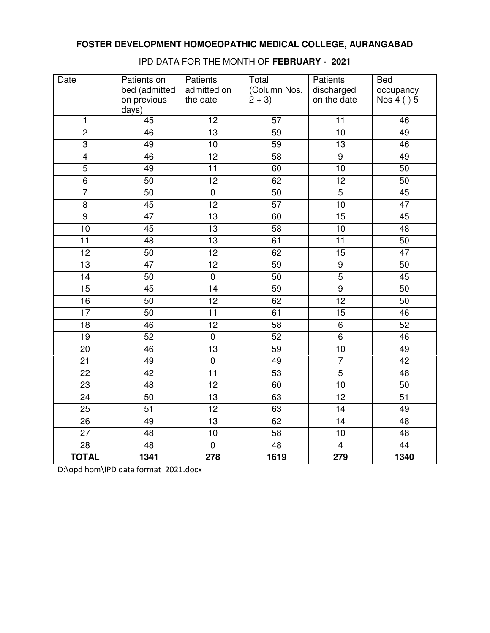| Date            | Patients on<br>bed (admitted<br>on previous<br>days) | Patients<br>admitted on<br>the date | Total<br>(Column Nos.<br>$2 + 3$ | Patients<br>discharged<br>on the date | <b>Bed</b><br>occupancy<br>Nos 4 (-) 5 |
|-----------------|------------------------------------------------------|-------------------------------------|----------------------------------|---------------------------------------|----------------------------------------|
| 1               | 45                                                   | 12                                  | 57                               | 11                                    | 46                                     |
| $\overline{2}$  | $\overline{46}$                                      | 13                                  | 59                               | 10                                    | 49                                     |
| $\overline{3}$  | 49                                                   | 10                                  | 59                               | $\overline{13}$                       | 46                                     |
| $\overline{4}$  | $\overline{46}$                                      | $\overline{12}$                     | $\overline{58}$                  | $\overline{9}$                        | 49                                     |
| $\overline{5}$  | 49                                                   | $\overline{11}$                     | 60                               | $\overline{10}$                       | 50                                     |
| $\overline{6}$  | 50                                                   | $\overline{12}$                     | 62                               | $\overline{12}$                       | 50                                     |
| $\overline{7}$  | 50                                                   | $\overline{0}$                      | 50                               | $\overline{5}$                        | 45                                     |
| $\overline{8}$  | 45                                                   | 12                                  | $\overline{57}$                  | 10                                    | 47                                     |
| $\overline{9}$  | $\overline{47}$                                      | $\overline{13}$                     | 60                               | 15                                    | 45                                     |
| 10              | 45                                                   | $\overline{13}$                     | 58                               | $\overline{10}$                       | 48                                     |
| $\overline{11}$ | $\overline{48}$                                      | $\overline{13}$                     | 61                               | $\overline{11}$                       | 50                                     |
| 12              | 50                                                   | 12                                  | 62                               | 15                                    | 47                                     |
| $\overline{13}$ | 47                                                   | $\overline{12}$                     | 59                               | $\overline{9}$                        | 50                                     |
| $\overline{14}$ | $\overline{50}$                                      | $\overline{0}$                      | $\overline{50}$                  | $\overline{5}$                        | 45                                     |
| 15              | 45                                                   | 14                                  | 59                               | $\overline{9}$                        | 50                                     |
| $\overline{16}$ | 50                                                   | 12                                  | 62                               | 12                                    | 50                                     |
| 17              | 50                                                   | 11                                  | 61                               | 15                                    | 46                                     |
| $\overline{18}$ | 46                                                   | $\overline{12}$                     | 58                               | $\overline{6}$                        | 52                                     |
| 19              | 52                                                   | $\overline{0}$                      | 52                               | $\overline{6}$                        | 46                                     |
| $\overline{20}$ | 46                                                   | $\overline{13}$                     | $\overline{59}$                  | $\overline{10}$                       | 49                                     |
| 21              | 49                                                   | $\pmb{0}$                           | 49                               | $\overline{7}$                        | 42                                     |
| 22              | 42                                                   | 11                                  | 53                               | $\overline{5}$                        | 48                                     |
| 23              | 48                                                   | $\overline{12}$                     | 60                               | 10                                    | 50                                     |
| $\overline{24}$ | 50                                                   | $\overline{13}$                     | 63                               | $\overline{12}$                       | $\overline{51}$                        |
| $\overline{25}$ | 51                                                   | $\overline{12}$                     | 63                               | 14                                    | 49                                     |
| 26              | 49                                                   | $\overline{13}$                     | 62                               | 14                                    | 48                                     |
| $\overline{27}$ | 48                                                   | 10                                  | 58                               | 10                                    | 48                                     |
| $\overline{28}$ | 48                                                   | $\overline{0}$                      | 48                               | $\overline{4}$                        | $\overline{44}$                        |
| <b>TOTAL</b>    | 1341                                                 | 278                                 | 1619                             | 279                                   | 1340                                   |

IPD DATA FOR THE MONTH OF **FEBRUARY - 2021**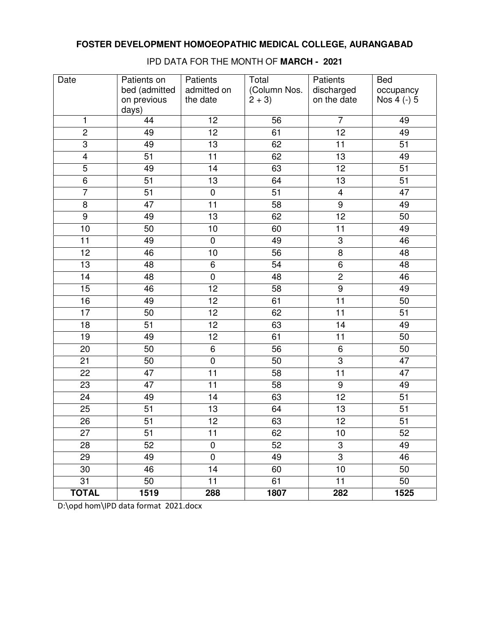| Date            | Patients on                           | Patients                | Total                   | Patients                  | <b>Bed</b>               |
|-----------------|---------------------------------------|-------------------------|-------------------------|---------------------------|--------------------------|
|                 | bed (admitted<br>on previous<br>days) | admitted on<br>the date | (Column Nos.<br>$2 + 3$ | discharged<br>on the date | occupancy<br>Nos 4 (-) 5 |
| 1               | 44                                    | 12                      | 56                      | $\overline{7}$            | 49                       |
| $\overline{2}$  | 49                                    | $\overline{12}$         | 61                      | $\overline{12}$           | 49                       |
| $\overline{3}$  | 49                                    | $\overline{13}$         | 62                      | $\overline{11}$           | $\overline{51}$          |
| $\overline{4}$  | $\overline{51}$                       | $\overline{11}$         | 62                      | $\overline{13}$           | 49                       |
| $\overline{5}$  | 49                                    | 14                      | 63                      | 12                        | 51                       |
| $\overline{6}$  | 51                                    | 13                      | 64                      | $\overline{13}$           | 51                       |
| $\overline{7}$  | 51                                    | $\pmb{0}$               | 51                      | $\overline{\mathbf{4}}$   | 47                       |
| 8               | 47                                    | $\overline{11}$         | 58                      | $\overline{9}$            | 49                       |
| $\overline{9}$  | 49                                    | 13                      | 62                      | $\overline{12}$           | 50                       |
| 10              | 50                                    | 10                      | 60                      | $\overline{11}$           | 49                       |
| 11              | 49                                    | $\pmb{0}$               | 49                      | 3                         | 46                       |
| 12              | 46                                    | 10                      | 56                      | $\overline{8}$            | 48                       |
| 13              | 48                                    | 6                       | 54                      | 6                         | 48                       |
| 14              | 48                                    | $\pmb{0}$               | 48                      | $\overline{2}$            | 46                       |
| 15              | 46                                    | 12                      | 58                      | $\overline{9}$            | 49                       |
| 16              | 49                                    | 12                      | 61                      | 11                        | 50                       |
| 17              | 50                                    | 12                      | 62                      | 11                        | 51                       |
| $\overline{18}$ | $\overline{51}$                       | $\overline{12}$         | 63                      | $\overline{14}$           | 49                       |
| $\overline{19}$ | 49                                    | $\overline{12}$         | 61                      | $\overline{11}$           | 50                       |
| 20              | 50                                    | $\overline{6}$          | $\overline{56}$         | 6                         | 50                       |
| 21              | 50                                    | $\pmb{0}$               | 50                      | $\overline{3}$            | 47                       |
| 22              | 47                                    | $\overline{11}$         | 58                      | $\overline{11}$           | 47                       |
| 23              | 47                                    | 11                      | 58                      | 9                         | 49                       |
| 24              | 49                                    | 14                      | 63                      | 12                        | $\overline{51}$          |
| 25              | 51                                    | 13                      | 64                      | 13                        | 51                       |
| $\overline{26}$ | $\overline{51}$                       | 12                      | 63                      | $\overline{12}$           | $\overline{51}$          |
| 27              | 51                                    | 11                      | 62                      | 10                        | 52                       |
| 28              | 52                                    | $\pmb{0}$               | 52                      | 3                         | 49                       |
| 29              | 49                                    | $\mathbf 0$             | 49                      | 3                         | 46                       |
| 30              | 46                                    | 14                      | 60                      | 10                        | 50                       |
| 31              | 50                                    | 11                      | 61                      | 11                        | 50                       |
| <b>TOTAL</b>    | 1519                                  | 288                     | 1807                    | 282                       | 1525                     |

IPD DATA FOR THE MONTH OF **MARCH - 2021**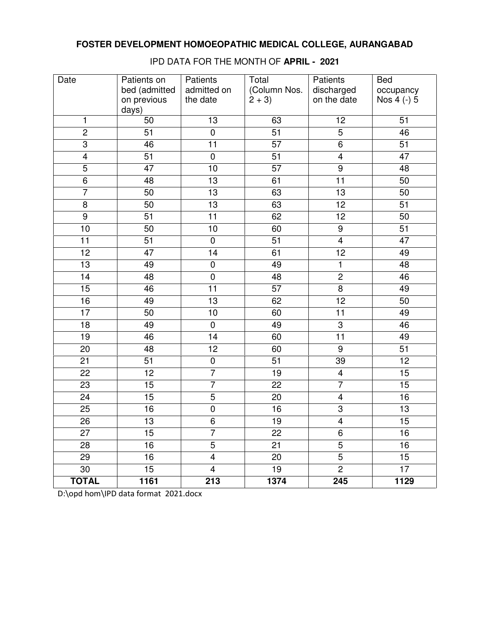| Date            | Patients on<br>bed (admitted<br>on previous | Patients<br>admitted on<br>the date | Total<br>(Column Nos.<br>$2 + 3$ | Patients<br>discharged<br>on the date | <b>Bed</b><br>occupancy<br>Nos 4 (-) 5 |
|-----------------|---------------------------------------------|-------------------------------------|----------------------------------|---------------------------------------|----------------------------------------|
|                 | days)                                       |                                     |                                  |                                       |                                        |
| 1               | 50                                          | 13                                  | 63                               | 12                                    | 51                                     |
| $\overline{2}$  | $\overline{51}$                             | $\overline{0}$                      | $\overline{51}$                  | $\overline{5}$                        | 46                                     |
| $\overline{3}$  | 46                                          | 11                                  | 57                               | $\overline{6}$                        | $\overline{51}$                        |
| $\overline{4}$  | $\overline{51}$                             | $\overline{0}$                      | $\overline{51}$                  | $\overline{4}$                        | $\overline{47}$                        |
| $\overline{5}$  | 47                                          | 10                                  | $\overline{57}$                  | $\overline{9}$                        | 48                                     |
| $\overline{6}$  | 48                                          | 13                                  | 61                               | $\overline{11}$                       | 50                                     |
| $\overline{7}$  | 50                                          | 13                                  | 63                               | 13                                    | 50                                     |
| 8               | 50                                          | 13                                  | 63                               | 12                                    | 51                                     |
| $\overline{9}$  | 51                                          | 11                                  | 62                               | 12                                    | 50                                     |
| 10              | 50                                          | 10                                  | 60                               | $\overline{9}$                        | $\overline{51}$                        |
| 11              | $\overline{51}$                             | $\pmb{0}$                           | $\overline{51}$                  | $\overline{\mathbf{4}}$               | $\overline{47}$                        |
| 12              | 47                                          | 14                                  | 61                               | 12                                    | 49                                     |
| 13              | 49                                          | $\pmb{0}$                           | 49                               | $\mathbf{1}$                          | 48                                     |
| 14              | 48                                          | $\pmb{0}$                           | 48                               | $\overline{2}$                        | 46                                     |
| 15              | 46                                          | 11                                  | 57                               | $\overline{8}$                        | 49                                     |
| 16              | 49                                          | 13                                  | 62                               | 12                                    | 50                                     |
| 17              | 50                                          | 10                                  | 60                               | 11                                    | 49                                     |
| $\overline{18}$ | 49                                          | $\overline{0}$                      | 49                               | $\overline{3}$                        | 46                                     |
| $\overline{19}$ | 46                                          | 14                                  | 60                               | $\overline{11}$                       | 49                                     |
| 20              | 48                                          | 12                                  | 60                               | $\overline{9}$                        | 51                                     |
| 21              | 51                                          | $\pmb{0}$                           | 51                               | 39                                    | 12                                     |
| 22              | 12                                          | $\overline{7}$                      | 19                               | $\overline{\mathbf{4}}$               | 15                                     |
| 23              | 15                                          | $\overline{7}$                      | 22                               | $\overline{7}$                        | 15                                     |
| 24              | 15                                          | $\overline{5}$                      | 20                               | $\overline{4}$                        | 16                                     |
| 25              | 16                                          | $\pmb{0}$                           | 16                               | $\overline{3}$                        | 13                                     |
| $\overline{26}$ | $\overline{13}$                             | $\overline{6}$                      | 19                               | $\overline{4}$                        | $\overline{15}$                        |
| 27              | 15                                          | 7                                   | 22                               | 6                                     | 16                                     |
| 28              | 16                                          | $\overline{5}$                      | 21                               | $\overline{5}$                        | 16                                     |
| 29              | 16                                          | $\overline{\mathbf{4}}$             | 20                               | 5                                     | 15                                     |
| 30              | 15                                          | $\overline{4}$                      | 19                               | $\overline{c}$                        | 17                                     |
| <b>TOTAL</b>    | 1161                                        | 213                                 | 1374                             | 245                                   | 1129                                   |

IPD DATA FOR THE MONTH OF **APRIL - 2021**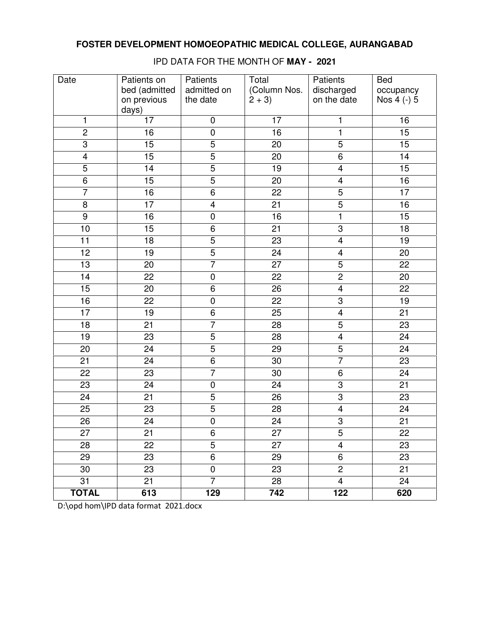| Date            | Patients on<br>bed (admitted<br>on previous | Patients<br>admitted on<br>the date | Total<br>(Column Nos.<br>$2 + 3$ | Patients<br>discharged<br>on the date | <b>Bed</b><br>occupancy<br>Nos 4 (-) 5 |
|-----------------|---------------------------------------------|-------------------------------------|----------------------------------|---------------------------------------|----------------------------------------|
|                 | days)                                       |                                     |                                  |                                       |                                        |
| 1               | 17                                          | $\pmb{0}$                           | 17                               | $\mathbf{1}$                          | 16                                     |
| $\overline{2}$  | $\overline{16}$                             | $\overline{0}$                      | 16                               | $\overline{1}$                        | 15                                     |
| $\overline{3}$  | $\overline{15}$                             | $\overline{5}$                      | 20                               | $\overline{5}$                        | $\overline{15}$                        |
| $\overline{4}$  | $\overline{15}$                             | $\overline{5}$                      | $\overline{20}$                  | $\overline{6}$                        | $\overline{14}$                        |
| $\overline{5}$  | 14                                          | $\overline{5}$                      | 19                               | $\overline{\mathbf{4}}$               | 15                                     |
| $\overline{6}$  | 15                                          | $\overline{5}$                      | 20                               | $\overline{4}$                        | 16                                     |
| $\overline{7}$  | 16                                          | 6                                   | 22                               | $\overline{5}$                        | 17                                     |
| 8               | $\overline{17}$                             | $\overline{\mathbf{4}}$             | $\overline{21}$                  | $\overline{5}$                        | 16                                     |
| $\overline{9}$  | 16                                          | $\pmb{0}$                           | 16                               | $\overline{1}$                        | 15                                     |
| 10              | $\overline{15}$                             | $\overline{6}$                      | $\overline{21}$                  | $\overline{3}$                        | $\overline{18}$                        |
| 11              | 18                                          | $\overline{5}$                      | $\overline{23}$                  | $\overline{\mathbf{4}}$               | 19                                     |
| 12              | 19                                          | $\overline{5}$                      | 24                               | $\overline{\mathbf{4}}$               | 20                                     |
| 13              | 20                                          | $\overline{7}$                      | 27                               | 5                                     | 22                                     |
| 14              | 22                                          | $\pmb{0}$                           | 22                               | $\overline{2}$                        | 20                                     |
| 15              | 20                                          | 6                                   | 26                               | $\overline{\mathbf{4}}$               | 22                                     |
| 16              | 22                                          | $\pmb{0}$                           | 22                               | $\overline{3}$                        | 19                                     |
| 17              | 19                                          | 6                                   | 25                               | $\overline{\mathbf{4}}$               | 21                                     |
| $\overline{18}$ | $\overline{21}$                             | $\overline{7}$                      | $\overline{28}$                  | $\overline{5}$                        | $\overline{23}$                        |
| $\overline{19}$ | $\overline{23}$                             | $\overline{5}$                      | $\overline{28}$                  | $\overline{4}$                        | $\overline{24}$                        |
| 20              | 24                                          | $\overline{5}$                      | 29                               | $\overline{5}$                        | 24                                     |
| 21              | 24                                          | $\overline{6}$                      | 30                               | $\overline{7}$                        | 23                                     |
| 22              | 23                                          | $\overline{7}$                      | 30                               | $\overline{6}$                        | 24                                     |
| 23              | 24                                          | $\pmb{0}$                           | 24                               | $\overline{3}$                        | 21                                     |
| 24              | 21                                          | $\overline{5}$                      | $\overline{26}$                  | $\overline{3}$                        | 23                                     |
| 25              | 23                                          | $\overline{5}$                      | 28                               | $\overline{4}$                        | 24                                     |
| $\overline{26}$ | $\overline{24}$                             | $\overline{0}$                      | 24                               | $\overline{3}$                        | $\overline{21}$                        |
| 27              | 21                                          | 6                                   | 27                               | 5                                     | 22                                     |
| 28              | 22                                          | $\overline{5}$                      | 27                               | $\overline{\mathbf{4}}$               | 23                                     |
| 29              | 23                                          | 6                                   | 29                               | 6                                     | 23                                     |
| 30              | 23                                          | 0                                   | 23                               | $\overline{c}$                        | 21                                     |
| 31              | 21                                          | $\overline{7}$                      | 28                               | 4                                     | 24                                     |
| <b>TOTAL</b>    | 613                                         | 129                                 | 742                              | 122                                   | 620                                    |

IPD DATA FOR THE MONTH OF **MAY - 2021**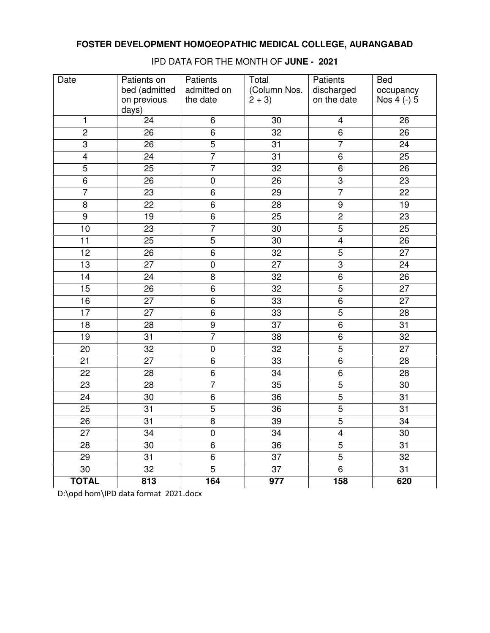| Date            | Patients on     | Patients       | Total           | Patients       | <b>Bed</b>      |
|-----------------|-----------------|----------------|-----------------|----------------|-----------------|
|                 | bed (admitted   | admitted on    | (Column Nos.    | discharged     | occupancy       |
|                 | on previous     | the date       | $2 + 3$         | on the date    | Nos 4 (-) 5     |
|                 | days)           |                |                 |                |                 |
| 1               | 24              | 6              | 30              | 4              | 26              |
| $\overline{2}$  | 26              | $\overline{6}$ | $\overline{32}$ | $\overline{6}$ | 26              |
| $\overline{3}$  | 26              | $\overline{5}$ | 31              | 7              | 24              |
| $\overline{4}$  | 24              | $\overline{7}$ | $\overline{31}$ | $\overline{6}$ | 25              |
| $\overline{5}$  | 25              | $\overline{7}$ | 32              | 6              | 26              |
| $\,6\,$         | 26              | $\pmb{0}$      | 26              | $\overline{3}$ | 23              |
| $\overline{7}$  | 23              | 6              | 29              | $\overline{7}$ | 22              |
| $\bf 8$         | 22              | 6              | 28              | $\overline{9}$ | 19              |
| $\overline{9}$  | 19              | $\,6\,$        | 25              | $\overline{2}$ | 23              |
| 10              | $\overline{23}$ | $\overline{7}$ | 30              | $\overline{5}$ | $\overline{25}$ |
| $\overline{11}$ | 25              | $\overline{5}$ | 30              | $\overline{4}$ | 26              |
| $\overline{12}$ | 26              | $\overline{6}$ | $\overline{32}$ | $\overline{5}$ | $\overline{27}$ |
| 13              | 27              | $\pmb{0}$      | 27              | $\overline{3}$ | 24              |
| $\overline{14}$ | 24              | 8              | $\overline{32}$ | $\overline{6}$ | 26              |
| 15              | 26              | 6              | 32              | $\overline{5}$ | 27              |
| 16              | $\overline{27}$ | $\overline{6}$ | $\overline{33}$ | $\overline{6}$ | $\overline{27}$ |
| 17              | 27              | 6              | 33              | $\overline{5}$ | 28              |
| $\overline{18}$ | $\overline{28}$ | $\overline{9}$ | $\overline{37}$ | $\overline{6}$ | $\overline{31}$ |
| 19              | 31              | $\overline{7}$ | 38              | 6              | 32              |
| 20              | 32              | $\pmb{0}$      | $\overline{32}$ | $\overline{5}$ | 27              |
| 21              | 27              | 6              | 33              | 6              | 28              |
| 22              | 28              | $\overline{6}$ | 34              | $\overline{6}$ | 28              |
| 23              | 28              | $\overline{7}$ | 35              | 5              | 30              |
| 24              | 30              | 6              | 36              | $\overline{5}$ | 31              |
| 25              | 31              | 5              | 36              | $\overline{5}$ | 31              |
| $\overline{26}$ | $\overline{31}$ | $\overline{8}$ | $\overline{39}$ | $\overline{5}$ | $\overline{34}$ |
| 27              | 34              | 0              | 34              | 4              | 30              |
| 28              | 30              | 6              | 36              | $\overline{5}$ | 31              |
| 29              | 31              | 6              | 37              | 5              | 32              |
| 30              | 32              | $\overline{5}$ | 37              | 6              | 31              |
| <b>TOTAL</b>    | 813             | 164            | 977             | 158            | 620             |

IPD DATA FOR THE MONTH OF **JUNE - 2021**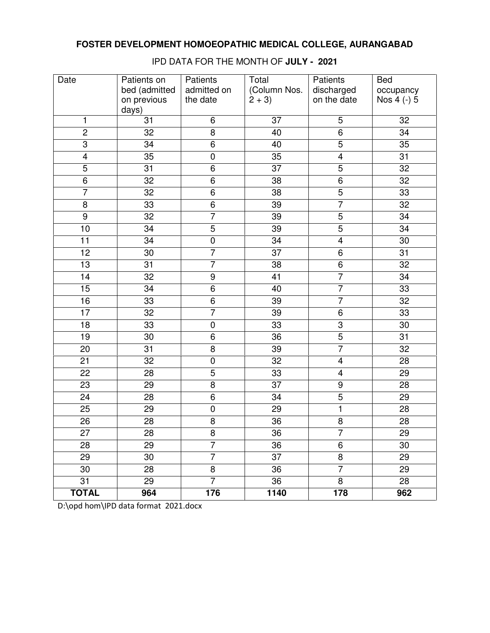| Date            | Patients on     | Patients       | Total           | Patients                | <b>Bed</b>      |
|-----------------|-----------------|----------------|-----------------|-------------------------|-----------------|
|                 | bed (admitted   | admitted on    | (Column Nos.    | discharged              | occupancy       |
|                 | on previous     | the date       | $2 + 3$         | on the date             | Nos 4 (-) 5     |
|                 | days)           |                |                 |                         |                 |
| 1               | 31              | 6              | 37              | 5                       | 32              |
| $\overline{2}$  | $\overline{32}$ | $\overline{8}$ | 40              | $\overline{6}$          | $\overline{34}$ |
| $\overline{3}$  | 34              | $\overline{6}$ | 40              | $\overline{5}$          | 35              |
| $\overline{4}$  | 35              | $\pmb{0}$      | $\overline{35}$ | $\overline{4}$          | $\overline{31}$ |
| $\overline{5}$  | 31              | 6              | 37              | $\overline{5}$          | 32              |
| 6               | 32              | 6              | 38              | $\overline{6}$          | 32              |
| $\overline{7}$  | 32              | 6              | 38              | $\overline{5}$          | 33              |
| 8               | 33              | 6              | 39              | $\overline{7}$          | 32              |
| $\overline{9}$  | 32              | $\overline{7}$ | 39              | $\overline{5}$          | 34              |
| 10              | $\overline{34}$ | $\overline{5}$ | $\overline{39}$ | $\overline{5}$          | $\overline{34}$ |
| $\overline{11}$ | $\overline{34}$ | $\overline{0}$ | $\overline{34}$ | $\overline{4}$          | $\overline{30}$ |
| 12              | $\overline{30}$ | $\overline{7}$ | $\overline{37}$ | 6                       | 31              |
| 13              | 31              | $\overline{7}$ | 38              | $\overline{6}$          | 32              |
| 14              | 32              | $\overline{9}$ | 41              | $\overline{7}$          | 34              |
| 15              | 34              | 6              | 40              | $\overline{7}$          | 33              |
| 16              | 33              | 6              | 39              | $\overline{7}$          | 32              |
| $\overline{17}$ | 32              | $\overline{7}$ | 39              | 6                       | 33              |
| $\overline{18}$ | 33              | $\pmb{0}$      | 33              | $\overline{3}$          | 30              |
| 19              | 30              | 6              | 36              | $\overline{5}$          | 31              |
| 20              | 31              | 8              | 39              | $\overline{7}$          | 32              |
| 21              | 32              | $\pmb{0}$      | 32              | $\overline{\mathbf{4}}$ | 28              |
| 22              | 28              | $\overline{5}$ | 33              | $\overline{\mathbf{4}}$ | 29              |
| 23              | 29              | 8              | 37              | $\boldsymbol{9}$        | 28              |
| 24              | 28              | 6              | 34              | $\overline{5}$          | 29              |
| 25              | 29              | $\pmb{0}$      | 29              | $\mathbf{1}$            | 28              |
| $\overline{26}$ | $\overline{28}$ | $\overline{8}$ | $\overline{36}$ | $\overline{8}$          | $\overline{28}$ |
| 27              | 28              | 8              | 36              | 7                       | 29              |
| 28              | 29              | $\overline{7}$ | 36              | 6                       | 30              |
| 29              | 30              | $\overline{7}$ | 37              | 8                       | 29              |
| 30              | 28              | 8              | 36              | $\overline{7}$          | 29              |
| 31              | 29              | $\overline{7}$ | 36              | 8                       | 28              |
| <b>TOTAL</b>    | 964             | 176            | 1140            | 178                     | 962             |

IPD DATA FOR THE MONTH OF **JULY - 2021**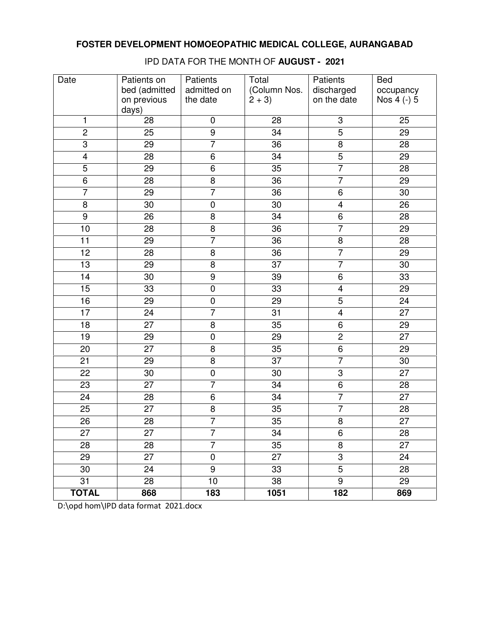| Date            | Patients on<br>bed (admitted | Patients<br>admitted on | Total<br>(Column Nos. | Patients<br>discharged  | <b>Bed</b><br>occupancy |
|-----------------|------------------------------|-------------------------|-----------------------|-------------------------|-------------------------|
|                 | on previous<br>days)         | the date                | $2 + 3$               | on the date             | Nos 4 (-) 5             |
| 1               | 28                           | 0                       | 28                    | 3                       | 25                      |
| $\overline{2}$  | 25                           | $\overline{9}$          | 34                    | $\overline{5}$          | $\overline{29}$         |
| $\overline{3}$  | 29                           | $\overline{7}$          | $\overline{36}$       | $\overline{8}$          | 28                      |
| $\overline{4}$  | 28                           | $\overline{6}$          | 34                    | $\overline{5}$          | 29                      |
| $\overline{5}$  | 29                           | $\,6$                   | 35                    | $\overline{7}$          | 28                      |
| $\overline{6}$  | 28                           | $\overline{8}$          | 36                    | $\overline{7}$          | 29                      |
| $\overline{7}$  | 29                           | $\overline{7}$          | 36                    | 6                       | 30                      |
| $\overline{8}$  | 30                           | $\pmb{0}$               | 30                    | $\overline{\mathbf{4}}$ | 26                      |
| $\overline{9}$  | 26                           | 8                       | 34                    | $\overline{6}$          | 28                      |
| 10              | 28                           | $\overline{8}$          | $\overline{36}$       | $\overline{7}$          | 29                      |
| 11              | 29                           | $\overline{7}$          | 36                    | 8                       | 28                      |
| $\overline{12}$ | 28                           | 8                       | 36                    | $\overline{7}$          | 29                      |
| 13              | 29                           | 8                       | 37                    | $\overline{7}$          | 30                      |
| 14              | 30                           | $\overline{9}$          | 39                    | 6                       | 33                      |
| 15              | 33                           | $\pmb{0}$               | 33                    | $\overline{\mathbf{4}}$ | 29                      |
| 16              | 29                           | $\pmb{0}$               | 29                    | $\overline{5}$          | 24                      |
| 17              | 24                           | $\overline{7}$          | 31                    | $\overline{\mathbf{4}}$ | 27                      |
| $\overline{18}$ | $\overline{27}$              | $\overline{8}$          | 35                    | $\overline{6}$          | $\overline{29}$         |
| 19              | 29                           | $\pmb{0}$               | 29                    | $\overline{2}$          | 27                      |
| 20              | $\overline{27}$              | $\overline{8}$          | 35                    | $\overline{6}$          | 29                      |
| 21              | 29                           | 8                       | 37                    | $\overline{7}$          | 30                      |
| 22              | 30                           | $\mathbf 0$             | 30                    | $\overline{3}$          | 27                      |
| 23              | 27                           | $\overline{7}$          | 34                    | 6                       | 28                      |
| 24              | 28                           | 6                       | $\overline{34}$       | $\overline{7}$          | $\overline{27}$         |
| 25              | 27                           | 8                       | 35                    | $\overline{7}$          | 28                      |
| $\overline{26}$ | 28                           | 7                       | 35                    | $\overline{8}$          | $\overline{27}$         |
| 27              | 27                           | 7                       | 34                    | 6                       | 28                      |
| 28              | 28                           | $\overline{7}$          | 35                    | 8                       | 27                      |
| 29              | 27                           | $\pmb{0}$               | 27                    | 3                       | 24                      |
| 30              | 24                           | $\boldsymbol{9}$        | 33                    | 5                       | 28                      |
| 31              | 28                           | 10                      | 38                    | 9                       | 29                      |
| <b>TOTAL</b>    | 868                          | 183                     | 1051                  | 182                     | 869                     |

IPD DATA FOR THE MONTH OF **AUGUST - 2021**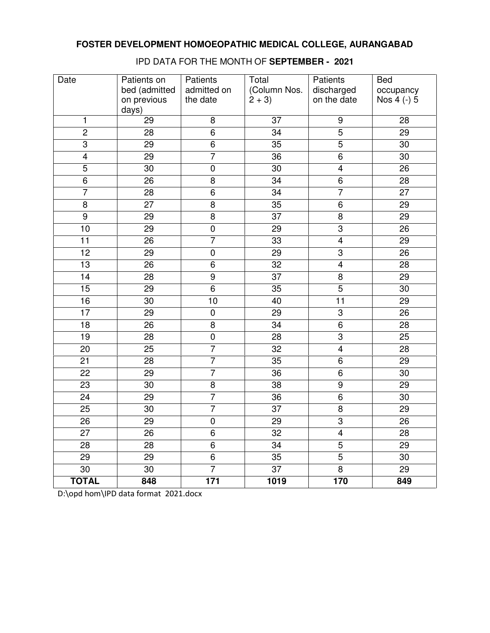| Date            | Patients on     | Patients       | Total           | Patients                | <b>Bed</b>      |
|-----------------|-----------------|----------------|-----------------|-------------------------|-----------------|
|                 | bed (admitted   | admitted on    | (Column Nos.    | discharged              | occupancy       |
|                 | on previous     | the date       | $2 + 3$         | on the date             | Nos 4 (-) 5     |
|                 | days)           |                |                 |                         |                 |
| 1               | 29              | 8              | 37              | $\boldsymbol{9}$        | 28              |
| $\overline{2}$  | 28              | $\overline{6}$ | $\overline{34}$ | $\overline{5}$          | 29              |
| $\overline{3}$  | 29              | $\overline{6}$ | 35              | $\overline{5}$          | 30              |
| $\overline{4}$  | 29              | $\overline{7}$ | $\overline{36}$ | $\overline{6}$          | $\overline{30}$ |
| $\overline{5}$  | 30              | $\pmb{0}$      | 30              | $\overline{\mathbf{4}}$ | 26              |
| $\overline{6}$  | 26              | 8              | $\overline{34}$ | $\overline{6}$          | 28              |
| $\overline{7}$  | 28              | 6              | 34              | $\overline{7}$          | 27              |
| 8               | 27              | 8              | 35              | 6                       | 29              |
| $\overline{9}$  | 29              | 8              | 37              | 8                       | 29              |
| 10              | $\overline{29}$ | $\overline{0}$ | 29              | $\overline{3}$          | $\overline{26}$ |
| $\overline{11}$ | 26              | $\overline{7}$ | $\overline{33}$ | $\overline{4}$          | 29              |
| 12              | 29              | $\pmb{0}$      | 29              | $\overline{\omega}$     | 26              |
| 13              | 26              | 6              | $\overline{32}$ | $\overline{4}$          | 28              |
| 14              | 28              | $\overline{9}$ | $\overline{37}$ | $\overline{8}$          | 29              |
| 15              | 29              | 6              | 35              | $\overline{5}$          | 30              |
| 16              | 30              | 10             | 40              | 11                      | 29              |
| $\overline{17}$ | 29              | $\pmb{0}$      | 29              | $\overline{3}$          | 26              |
| $\overline{18}$ | 26              | $\overline{8}$ | $\overline{34}$ | $\overline{6}$          | 28              |
| 19              | 28              | $\pmb{0}$      | 28              | 3                       | 25              |
| 20              | 25              | $\overline{7}$ | 32              | $\overline{\mathbf{4}}$ | 28              |
| 21              | 28              | $\overline{7}$ | 35              | 6                       | 29              |
| 22              | 29              | $\overline{7}$ | 36              | $\overline{6}$          | 30              |
| 23              | 30              | 8              | 38              | $\boldsymbol{9}$        | 29              |
| 24              | 29              | $\overline{7}$ | 36              | $\overline{6}$          | 30              |
| 25              | 30              | $\overline{7}$ | 37              | 8                       | 29              |
| $\overline{26}$ | $\overline{29}$ | $\overline{0}$ | $\overline{29}$ | $\overline{3}$          | $\overline{26}$ |
| 27              | 26              | 6              | 32              | 4                       | 28              |
| 28              | 28              | $\overline{6}$ | 34              | $\overline{5}$          | 29              |
| 29              | 29              | 6              | 35              | 5                       | 30              |
| 30              | 30              | $\overline{7}$ | 37              | 8                       | 29              |
| <b>TOTAL</b>    | 848             | 171            | 1019            | 170                     | 849             |

IPD DATA FOR THE MONTH OF **SEPTEMBER - 2021**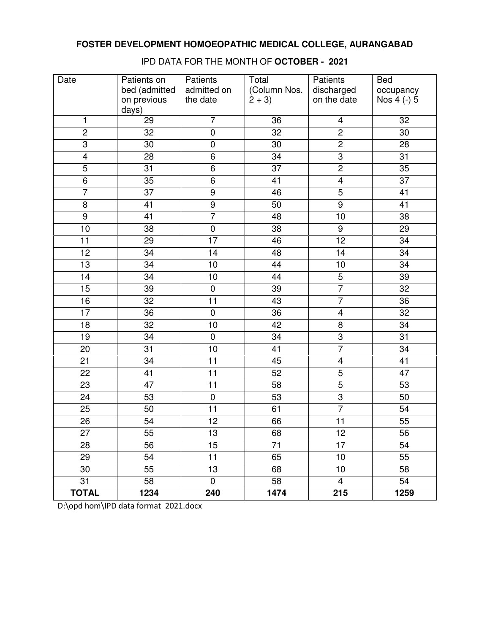| Date            | Patients on<br>bed (admitted | Patients<br>admitted on | Total<br>(Column Nos. | Patients<br>discharged  | <b>Bed</b><br>occupancy |
|-----------------|------------------------------|-------------------------|-----------------------|-------------------------|-------------------------|
|                 | on previous<br>days)         | the date                | $2 + 3$               | on the date             | Nos 4 (-) 5             |
| 1               | 29                           | $\overline{7}$          | 36                    | 4                       | 32                      |
| $\overline{2}$  | $\overline{32}$              | $\overline{0}$          | $\overline{32}$       | $\overline{2}$          | $\overline{30}$         |
| $\overline{3}$  | 30                           | $\pmb{0}$               | $\overline{30}$       | $\overline{2}$          | 28                      |
| $\overline{4}$  | 28                           | $\overline{6}$          | $\overline{34}$       | 3                       | $\overline{31}$         |
| $\overline{5}$  | 31                           | 6                       | $\overline{37}$       | $\overline{2}$          | 35                      |
| $\overline{6}$  | 35                           | $\overline{6}$          | 41                    | $\overline{4}$          | $\overline{37}$         |
| $\overline{7}$  | 37                           | $\boldsymbol{9}$        | 46                    | $\overline{5}$          | 41                      |
| 8               | 41                           | $\overline{9}$          | 50                    | $\overline{9}$          | 41                      |
| $\overline{9}$  | 41                           | $\overline{7}$          | 48                    | 10                      | 38                      |
| 10              | 38                           | $\pmb{0}$               | 38                    | $\overline{9}$          | 29                      |
| 11              | 29                           | $\overline{17}$         | 46                    | $\overline{12}$         | $\overline{34}$         |
| 12              | 34                           | 14                      | 48                    | 14                      | 34                      |
| 13              | 34                           | 10                      | 44                    | 10                      | 34                      |
| 14              | 34                           | 10                      | 44                    | $\overline{5}$          | 39                      |
| 15              | 39                           | $\pmb{0}$               | 39                    | $\overline{7}$          | 32                      |
| 16              | 32                           | 11                      | 43                    | $\overline{7}$          | 36                      |
| 17              | 36                           | $\pmb{0}$               | 36                    | $\overline{\mathbf{4}}$ | 32                      |
| $\overline{18}$ | $\overline{32}$              | $\overline{10}$         | 42                    | $\overline{8}$          | $\overline{34}$         |
| $\overline{19}$ | 34                           | $\overline{0}$          | $\overline{34}$       | $\overline{3}$          | $\overline{31}$         |
| 20              | 31                           | 10                      | 41                    | $\overline{7}$          | 34                      |
| 21              | 34                           | 11                      | 45                    | $\overline{4}$          | 41                      |
| 22              | 41                           | 11                      | 52                    | $\overline{5}$          | 47                      |
| 23              | 47                           | 11                      | 58                    | $\overline{5}$          | 53                      |
| 24              | 53                           | $\pmb{0}$               | 53                    | $\overline{3}$          | 50                      |
| 25              | 50                           | 11                      | 61                    | $\overline{7}$          | 54                      |
| $\overline{26}$ | $\overline{54}$              | 12                      | 66                    | $\overline{11}$         | $\overline{55}$         |
| 27              | 55                           | 13                      | 68                    | 12                      | 56                      |
| 28              | 56                           | 15                      | 71                    | 17                      | 54                      |
| 29              | 54                           | 11                      | 65                    | 10                      | 55                      |
| 30              | 55                           | 13                      | 68                    | 10                      | 58                      |
| 31              | 58                           | $\mathbf 0$             | 58                    | 4                       | 54                      |
| <b>TOTAL</b>    | 1234                         | 240                     | 1474                  | 215                     | 1259                    |

IPD DATA FOR THE MONTH OF **OCTOBER - 2021**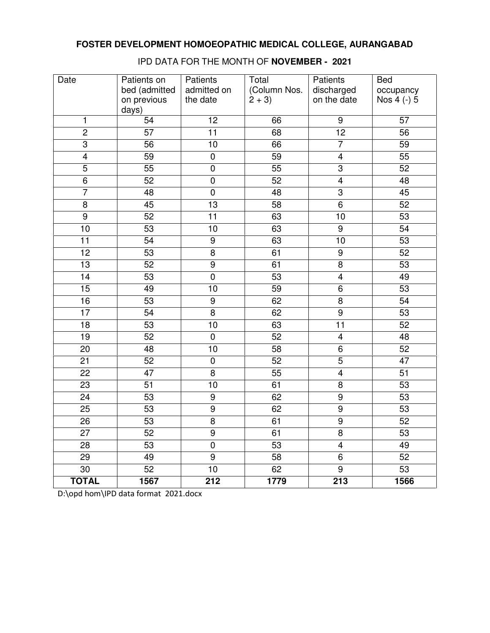| Date            | Patients on     | Patients            | Total        | Patients                | <b>Bed</b>      |
|-----------------|-----------------|---------------------|--------------|-------------------------|-----------------|
|                 | bed (admitted   | admitted on         | (Column Nos. | discharged              | occupancy       |
|                 | on previous     | the date            | $2 + 3$      | on the date             | Nos 4 (-) 5     |
|                 | days)           |                     |              |                         |                 |
| 1               | 54              | 12                  | 66           | 9                       | 57              |
| $\overline{2}$  | 57              | $\overline{11}$     | 68           | $\overline{12}$         | 56              |
| $\overline{3}$  | 56              | 10                  | 66           | $\overline{7}$          | 59              |
| $\overline{4}$  | 59              | $\pmb{0}$           | 59           | $\overline{\mathbf{4}}$ | 55              |
| $\overline{5}$  | 55              | $\pmb{0}$           | 55           | $\overline{3}$          | 52              |
| $\overline{6}$  | 52              | $\mathsf 0$         | 52           | $\overline{\mathbf{4}}$ | 48              |
| $\overline{7}$  | 48              | $\pmb{0}$           | 48           | 3                       | 45              |
| $\overline{8}$  | 45              | 13                  | 58           | 6                       | 52              |
| $\overline{9}$  | 52              | 11                  | 63           | 10                      | 53              |
| 10              | $\overline{53}$ | 10                  | 63           | $\overline{9}$          | $\overline{54}$ |
| $\overline{11}$ | 54              | $\overline{9}$      | 63           | 10                      | 53              |
| 12              | 53              | $\overline{\infty}$ | 61           | $\boldsymbol{9}$        | 52              |
| 13              | 52              | $\overline{9}$      | 61           | $\overline{8}$          | 53              |
| 14              | 53              | $\overline{0}$      | 53           | $\overline{4}$          | 49              |
| 15              | 49              | 10                  | 59           | 6                       | 53              |
| 16              | 53              | $\boldsymbol{9}$    | 62           | $\overline{\infty}$     | 54              |
| $\overline{17}$ | 54              | $\overline{8}$      | 62           | $\overline{9}$          | 53              |
| $\overline{18}$ | 53              | 10                  | 63           | $\overline{11}$         | 52              |
| 19              | 52              | $\pmb{0}$           | 52           | $\overline{\mathbf{4}}$ | 48              |
| 20              | 48              | 10                  | 58           | 6                       | 52              |
| 21              | 52              | $\pmb{0}$           | 52           | $\overline{5}$          | 47              |
| 22              | 47              | $\overline{8}$      | 55           | $\overline{4}$          | 51              |
| 23              | 51              | 10                  | 61           | 8                       | 53              |
| 24              | 53              | $\boldsymbol{9}$    | 62           | $\overline{9}$          | 53              |
| 25              | 53              | $\overline{9}$      | 62           | $\overline{9}$          | 53              |
| $\overline{26}$ | $\overline{53}$ | $\overline{8}$      | 61           | $\overline{9}$          | 52              |
| 27              | 52              | $\boldsymbol{9}$    | 61           | 8                       | 53              |
| 28              | 53              | $\mathbf 0$         | 53           | $\overline{4}$          | 49              |
| 29              | 49              | 9                   | 58           | 6                       | 52              |
| 30              | 52              | 10                  | 62           | 9                       | 53              |
| <b>TOTAL</b>    | 1567            | 212                 | 1779         | 213                     | 1566            |

IPD DATA FOR THE MONTH OF **NOVEMBER - 2021**